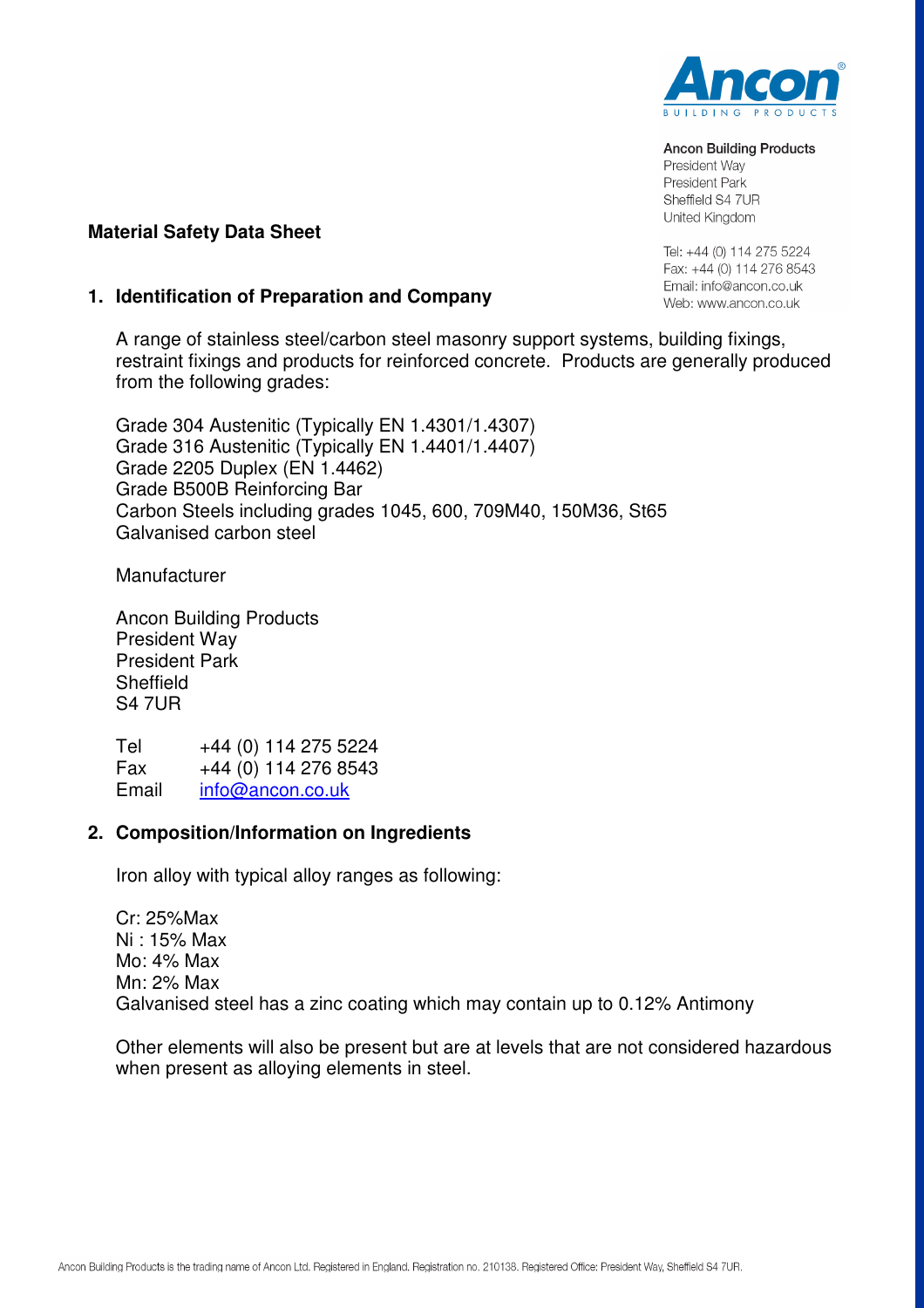

#### **Ancon Building Products**

President Way President Park Sheffield S4 7UR United Kinadom

Tel: +44 (0) 114 275 5224 Fax: +44 (0) 114 276 8543 Email: info@ancon.co.uk Web: www.ancon.co.uk

# **Material Safety Data Sheet**

# **1. Identification of Preparation and Company**

A range of stainless steel/carbon steel masonry support systems, building fixings, restraint fixings and products for reinforced concrete. Products are generally produced from the following grades:

Grade 304 Austenitic (Typically EN 1.4301/1.4307) Grade 316 Austenitic (Typically EN 1.4401/1.4407) Grade 2205 Duplex (EN 1.4462) Grade B500B Reinforcing Bar Carbon Steels including grades 1045, 600, 709M40, 150M36, St65 Galvanised carbon steel

**Manufacturer** 

Ancon Building Products President Way President Park **Sheffield** S4 7UR

Tel +44 (0) 114 275 5224 Fax  $+44$  (0) 114 276 8543 Email info@ancon.co.uk

## **2. Composition/Information on Ingredients**

Iron alloy with typical alloy ranges as following:

Cr: 25%Max Ni : 15% Max Mo: 4% Max Mn: 2% Max Galvanised steel has a zinc coating which may contain up to 0.12% Antimony

Other elements will also be present but are at levels that are not considered hazardous when present as alloying elements in steel.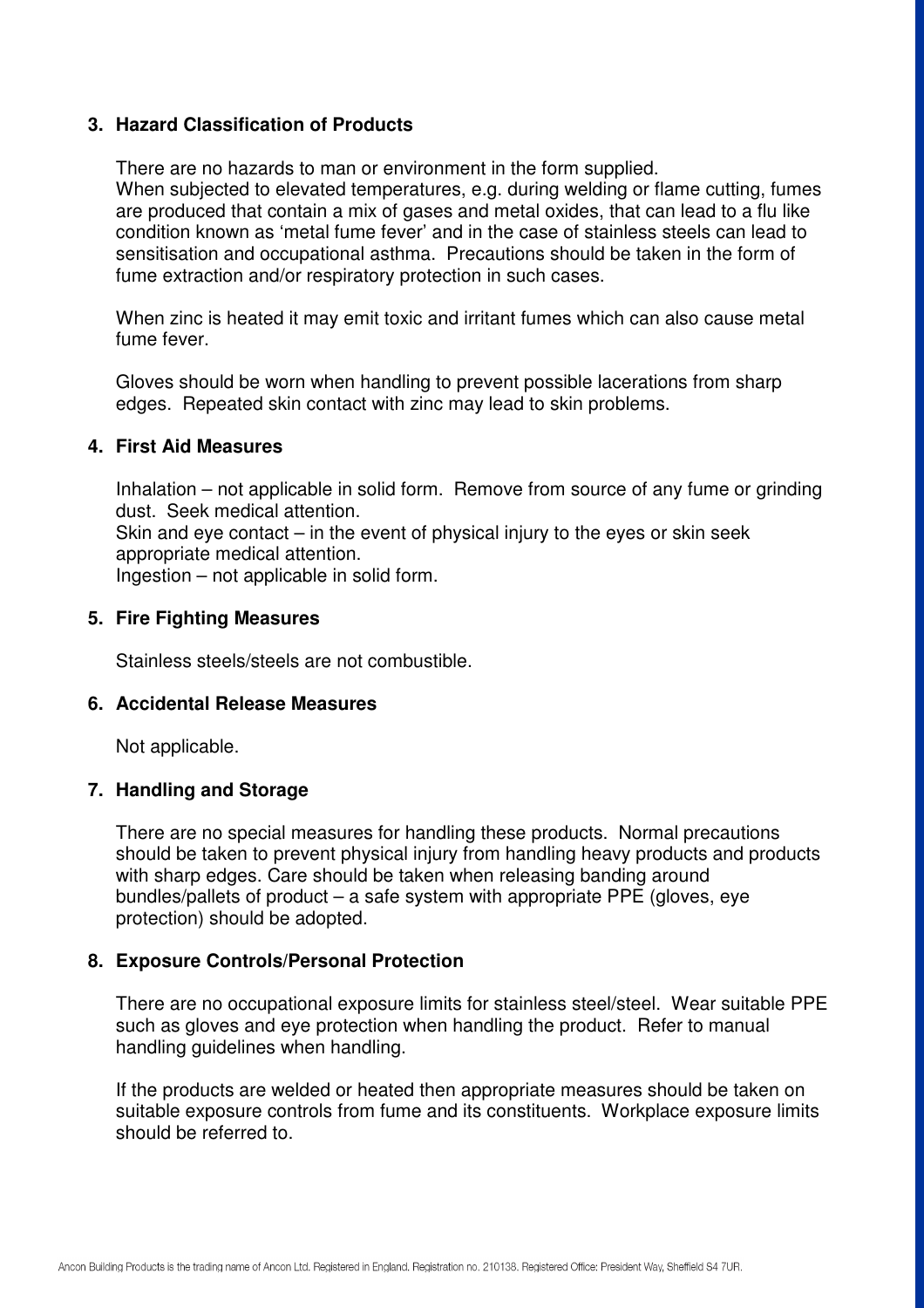# **3. Hazard Classification of Products**

There are no hazards to man or environment in the form supplied.

When subjected to elevated temperatures, e.g. during welding or flame cutting, fumes are produced that contain a mix of gases and metal oxides, that can lead to a flu like condition known as 'metal fume fever' and in the case of stainless steels can lead to sensitisation and occupational asthma. Precautions should be taken in the form of fume extraction and/or respiratory protection in such cases.

When zinc is heated it may emit toxic and irritant fumes which can also cause metal fume fever.

Gloves should be worn when handling to prevent possible lacerations from sharp edges. Repeated skin contact with zinc may lead to skin problems.

### **4. First Aid Measures**

Inhalation – not applicable in solid form. Remove from source of any fume or grinding dust. Seek medical attention.

Skin and eye contact – in the event of physical injury to the eyes or skin seek appropriate medical attention.

Ingestion – not applicable in solid form.

#### **5. Fire Fighting Measures**

Stainless steels/steels are not combustible.

### **6. Accidental Release Measures**

Not applicable.

## **7. Handling and Storage**

There are no special measures for handling these products. Normal precautions should be taken to prevent physical injury from handling heavy products and products with sharp edges. Care should be taken when releasing banding around bundles/pallets of product – a safe system with appropriate PPE (gloves, eye protection) should be adopted.

### **8. Exposure Controls/Personal Protection**

There are no occupational exposure limits for stainless steel/steel. Wear suitable PPE such as gloves and eye protection when handling the product. Refer to manual handling guidelines when handling.

If the products are welded or heated then appropriate measures should be taken on suitable exposure controls from fume and its constituents. Workplace exposure limits should be referred to.